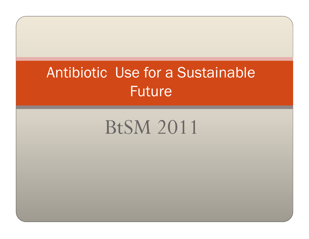## Antibiotic Use for a Sustainable Future

# BtSM 2011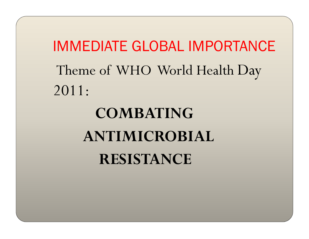IMMEDIATE GLOBAL IMPORTANCETheme of WHO World Health Day 2011:

# COMBATING ANTIMICROBIAL RESISTANCE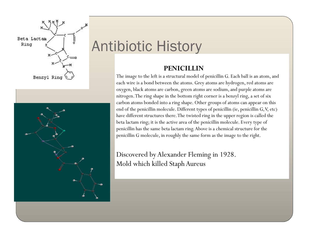

## Antibiotic History

#### PENICILLIN

The image to the left is a structural model of penicillin G. Each ball is an atom, and<br>each wire is a bond between the atoms. Grey atoms are hydrogen, red atoms are each wire is a bond between the atoms. Grey atoms are hydrogen, red atoms are oxygen, black atoms are carbon, green atoms are sodium, and purple atoms are nitrogen. The ring shape in the bottom right corner is a benzyl ring, a set of six carbon atoms bonded into a ring shape. Other groups of atoms can appear on this end of the penicillin molecule. Different types of penicillin (ie, penicillin G, V, etc) have different structures there. The twisted ring in the upper region is called the beta lactam ring; it is the active area of the penicillin molecule. Every type of penicillin has the same beta lactam ring. Above is a chemical structure for the penicillin G molecule, in roughly the same form as the image to the right.

Discovered by Alexander Fleming in 1928. Mold which killed Staph Aureus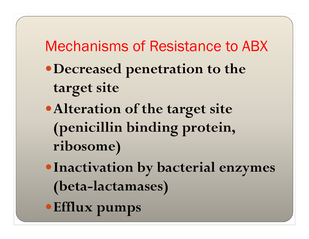### Mechanisms of Resistance to ABX

- Decreased penetration to the target site
- Alteration of the target site (penicillin binding protein, ribosome)
- Inactivation by bacterial enzymes (beta-lactamases)
- Efflux pumps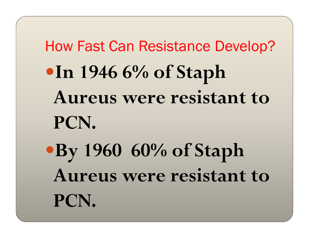How Fast Can Resistance Develop?In 1946 6% of Staph Aureus were resistant to PCN.By 1960 60% of Staph Aureus were resistant to PCN.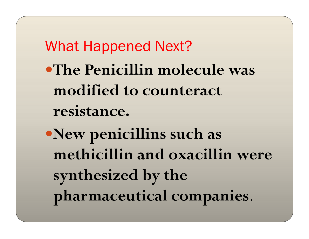What Happened Next?The Penicillin molecule was modified to counteract resistance.

New penicillins such as methicillin and oxacillin were synthesized by the pharmaceutical companies.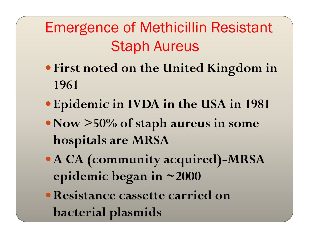Emergence of Methicillin ResistantStaph Aureus

- First noted on the United Kingdom in 1961
- Epidemic in IVDA in the USA in 1981
- Now >50% of staph aureus in some hospitals are MRSA
- A CA (community acquired)-MRSA epidemic began in ~2000
- Resistance cassette carried on bacterial plasmids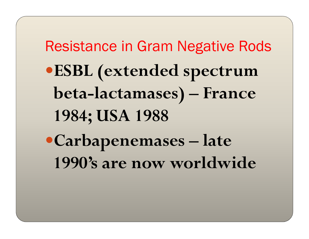Resistance in Gram Negative RodsESBL (extended spectrum beta-lactamases) – France 1984; USA 1988Carbapenemases – late 1990's are now worldwide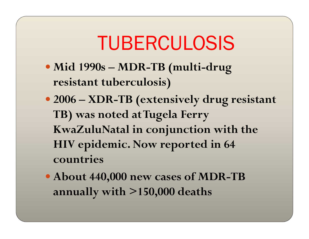# TUBERCULOSIS

- Mid 1990s MDR-TB (multi-drug<br>resistant tuberculosis) resistant tuberculosis)
- 2006 XDR-TB (extensively drug resistant<br>
TR) was noted at Tugela Ferry TB) was noted at Tugela Ferry KwaZuluNatal in conjunction with the HIV epidemic. Now reported in 64 countries
- About 440,000 new cases of MDR-TB annually with >150,000 deaths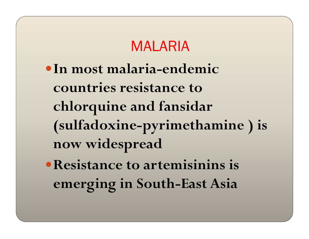#### MALARIA

- In most malaria-endemic countries resistance to chlorquine and fansidar (sulfadoxine-pyrimethamine ) is now widespread
- Resistance to artemisinins is emerging in South-East Asia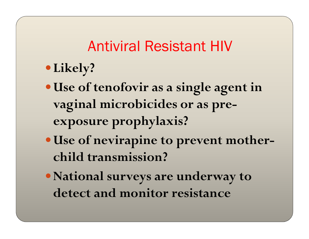#### Antiviral Resistant HIV

- Likely?
- Use of tenofovir as a single agent in vaginal microbicides or as preexposure prophylaxis?
- Use of nevirapine to prevent motherchild transmission?
- National surveys are underway to detect and monitor resistance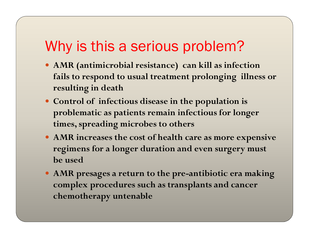#### Why is this a serious problem?

- AMR (antimicrobial resistance) can kill as infection fails to respond to usual treatment prolonging illness or resulting in death
- Control of infectious disease in the population is problematic as patients remain infectious for longer times, spreading microbes to others
- AMR increases the cost of health care as more expensive regimens for a longer duration and even surgery mustbe used
- AMR presages a return to the pre-antibiotic era making complex procedures such as transplants and cancer chemotherapy untenable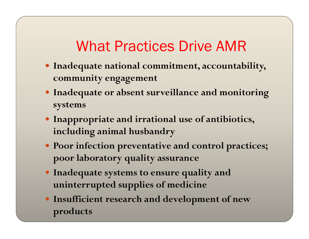#### What Practices Drive AMR

- Inadequate national commitment, accountability, community engagement
- Inadequate or absent surveillance and monitoring systems
- Inappropriate and irrational use of antibiotics, including animal husbandry
- Poor infection preventative and control practices; poor laboratory quality assurance
- Inadequate systems to ensure quality and uninterrupted supplies of medicine
- Insufficient research and development of new products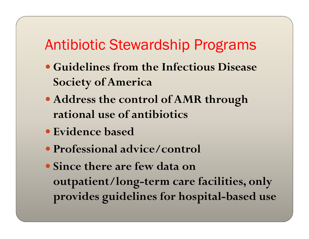#### Antibiotic Stewardship Programs

- Guidelines from the Infectious Disease Society of America
- Address the control of AMR through rational use of antibiotics
- Evidence based
- Professional advice/control
- Since there are few data on outpatient/long-term care facilities, only provides guidelines for hospital-based use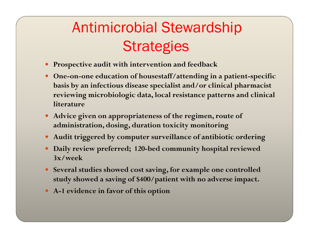- Prospective audit with intervention and feedback
- One-on-one education of housestaff/attending in a patient-specific basis by an infectious disease specialist and/or clinical pharmacist reviewing microbiologic data, local resistance patterns and clinical literature
- Advice given on appropriateness of the regimen, route of administration, dosing, duration toxicity monitoring
- Audit triggered by computer surveillance of antibiotic ordering
- Daily review preferred; 120-bed community hospital reviewed 3x/week
- Several studies showed cost saving, for example one controlled study showed a saving of \$400/patient with no adverse impact.
- A-1 evidence in favor of this option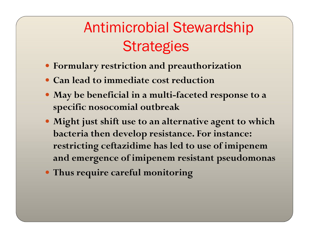- Formulary restriction and preauthorization
- Can lead to immediate cost reduction
- May be beneficial in a multi-faceted response to a specific nosocomial outbreak
- Might just shift use to an alternative agent to which bacteria then develop resistance. For instance: restricting ceftazidime has led to use of imipenem and emergence of imipenem resistant pseudomonas
- Thus require careful monitoring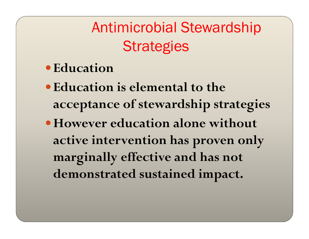- Education
- Education is elemental to the acceptance of stewardship strategies
- However education alone without active intervention has proven only marginally effective and has not demonstrated sustained impact.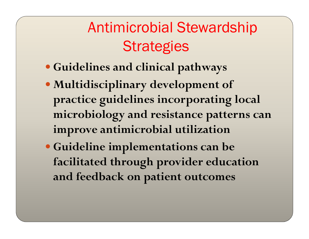- Guidelines and clinical pathways
- Multidisciplinary development of practice guidelines incorporating local microbiology and resistance patterns can improve antimicrobial utilization
- Guideline implementations can be facilitated through provider education and feedback on patient outcomes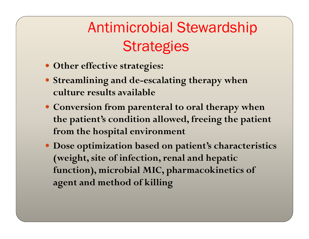- Other effective strategies:
- Streamlining and de-escalating therapy when culture results available
- Conversion from parenteral to oral therapy when the patient's condition allowed, freeing the patient from the hospital environment
- Dose optimization based on patient's characteristics (weight, site of infection, renal and hepatic function), microbial MIC, pharmacokinetics of agent and method of killing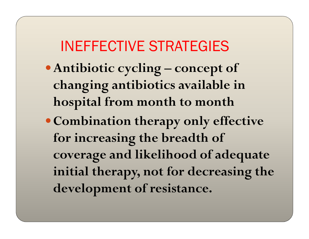#### INEFFECTIVE STRATEGIES

- Antibiotic cycling concept of changing antibiotics available in hospital from month to month
- Combination therapy only effective for increasing the breadth of coverage and likelihood of adequate initial therapy, not for decreasing the development of resistance.